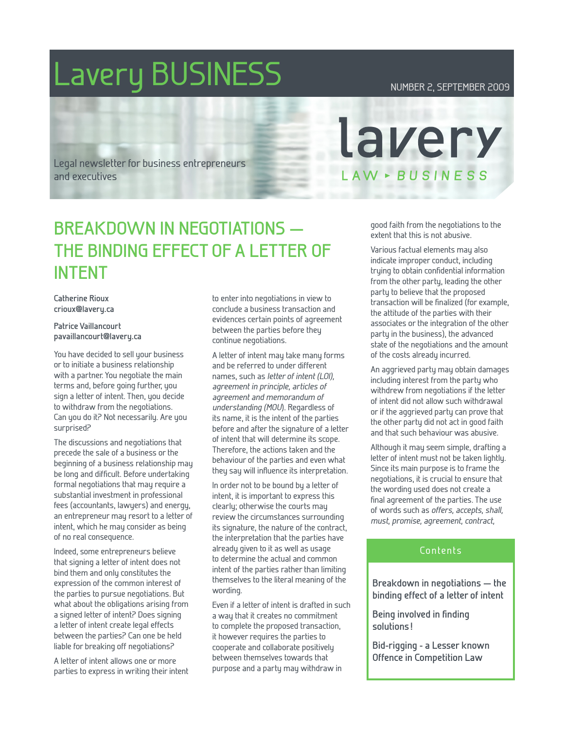# Lavery BUSINESS Number 2, SEPTEMBER 2009

Legal newsletter for business entrepreneurs and executives

# **Breakdown in negotiations the binding effect of a letter of intent**

**Catherine Rioux crioux@lavery.ca**

**Patrice Vaillancourt pavaillancourt@lavery.ca**

You have decided to sell your business or to initiate a business relationship with a partner. You negotiate the main terms and, before going further, you sign a letter of intent. Then, you decide to withdraw from the negotiations. Can you do it? Not necessarily. Are you surprised?

The discussions and negotiations that precede the sale of a business or the beginning of a business relationship may be long and difficult. Before undertaking formal negotiations that may require a substantial investment in professional fees (accountants, lawyers) and energy, an entrepreneur may resort to a letter of intent, which he may consider as being of no real consequence.

Indeed, some entrepreneurs believe that signing a letter of intent does not bind them and only constitutes the expression of the common interest of the parties to pursue negotiations. But what about the obligations arising from a signed letter of intent? Does signing a letter of intent create legal effects between the parties? Can one be held liable for breaking off negotiations?

A letter of intent allows one or more parties to express in writing their intent to enter into negotiations in view to conclude a business transaction and evidences certain points of agreement between the parties before they continue negotiations.

A letter of intent may take many forms and be referred to under different names, such as letter of intent (LOI), agreement in principle, articles of agreement and memorandum of understanding (MOU). Regardless of its name, it is the intent of the parties before and after the signature of a letter of intent that will determine its scope. Therefore, the actions taken and the behaviour of the parties and even what they say will influence its interpretation.

In order not to be bound by a letter of intent, it is important to express this clearly; otherwise the courts may review the circumstances surrounding its signature, the nature of the contract, the interpretation that the parties have already given to it as well as usage to determine the actual and common intent of the parties rather than limiting themselves to the literal meaning of the wording.

Even if a letter of intent is drafted in such a way that it creates no commitment to complete the proposed transaction, it however requires the parties to cooperate and collaborate positively between themselves towards that purpose and a party may withdraw in

good faith from the negotiations to the extent that this is not abusive.

lavery

LAW - BUSINESS

Various factual elements may also indicate improper conduct, including trying to obtain confidential information from the other party, leading the other party to believe that the proposed transaction will be finalized (for example, the attitude of the parties with their associates or the integration of the other party in the business), the advanced state of the negotiations and the amount of the costs already incurred.

An aggrieved party may obtain damages including interest from the party who withdrew from negotiations if the letter of intent did not allow such withdrawal or if the aggrieved party can prove that the other party did not act in good faith and that such behaviour was abusive.

Although it may seem simple, drafting a letter of intent must not be taken lightly. Since its main purpose is to frame the negotiations, it is crucial to ensure that the wording used does not create a final agreement of the parties. The use of words such as offers, accepts, shall, must, promise, agreement, contract,

#### Contents

**Breakdown in negotiations — the binding effect of a letter of intent**

**Being involved in finding solutions !**

**Bid-rigging - a Lesser known Offence in Competition Law**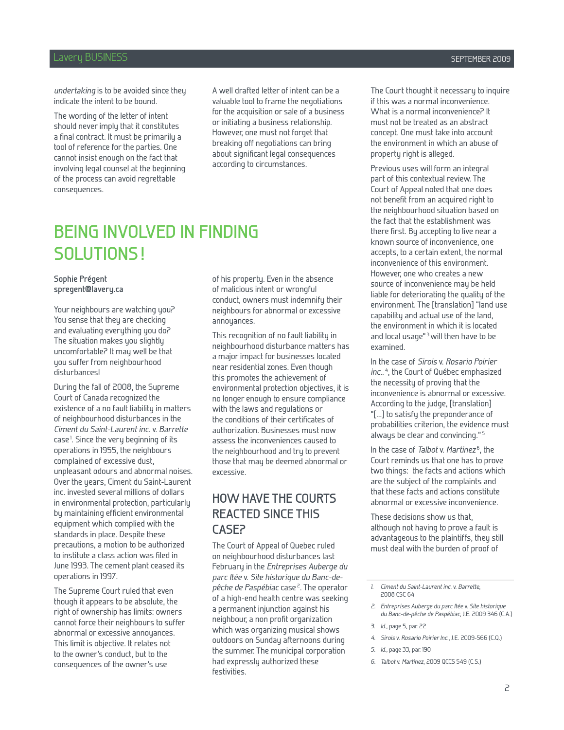#### Lavery BUSINESS SEPTEMBER 2009

undertaking is to be avoided since they indicate the intent to be bound.

The wording of the letter of intent should never imply that it constitutes a final contract. It must be primarily a tool of reference for the parties. One cannot insist enough on the fact that involving legal counsel at the beginning of the process can avoid regrettable consequences.

A well drafted letter of intent can be a valuable tool to frame the negotiations for the acquisition or sale of a business or initiating a business relationship. However, one must not forget that breaking off negotiations can bring about significant legal consequences according to circumstances.

# **Being involved in finding solutions!**

#### **Sophie Prégent spregent@lavery.ca**

Your neighbours are watching you? You sense that they are checking and evaluating everything you do? The situation makes you slightly uncomfortable? It may well be that you suffer from neighbourhood disturbances!

During the fall of 2008, the Supreme Court of Canada recognized the existence of a no fault liability in matters of neighbourhood disturbances in the Ciment du Saint-Laurent inc. v. Barrette case<sup>1</sup>. Since the very beginning of its operations in 1955, the neighbours complained of excessive dust, unpleasant odours and abnormal noises. Over the years, Ciment du Saint-Laurent inc. invested several millions of dollars in environmental protection, particularly by maintaining efficient environmental equipment which complied with the standards in place. Despite these precautions, a motion to be authorized to institute a class action was filed in June 1993. The cement plant ceased its operations in 1997.

The Supreme Court ruled that even though it appears to be absolute, the right of ownership has limits: owners cannot force their neighbours to suffer abnormal or excessive annoyances. This limit is objective. It relates not to the owner's conduct, but to the consequences of the owner's use

of his property. Even in the absence of malicious intent or wrongful conduct, owners must indemnify their neighbours for abnormal or excessive annoyances.

This recognition of no fault liability in neighbourhood disturbance matters has a major impact for businesses located near residential zones. Even though this promotes the achievement of environmental protection objectives, it is no longer enough to ensure compliance with the laws and regulations or the conditions of their certificates of authorization. Businesses must now assess the inconveniences caused to the neighbourhood and try to prevent those that may be deemed abnormal or excessive.

### **How have the courts reacted since this case?**

The Court of Appeal of Quebec ruled on neighbourhood disturbances last February in the Entreprises Auberge du parc ltée v. Site historique du Banc-depêche de Paspébiac case<sup>2</sup>. The operator of a high-end health centre was seeking a permanent injunction against his neighbour, a non profit organization which was organizing musical shows outdoors on Sunday afternoons during the summer. The municipal corporation had expressly authorized these festivities.

The Court thought it necessary to inquire if this was a normal inconvenience. What is a normal inconvenience? It must not be treated as an abstract concept. One must take into account the environment in which an abuse of property right is alleged.

Previous uses will form an integral part of this contextual review. The Court of Appeal noted that one does not benefit from an acquired right to the neighbourhood situation based on the fact that the establishment was there first. By accepting to live near a known source of inconvenience, one accepts, to a certain extent, the normal inconvenience of this environment. However, one who creates a new source of inconvenience may be held liable for deteriorating the quality of the environment. The [translation] "land use capability and actual use of the land, the environment in which it is located and local usage"<sup>3</sup> will then have to be examined.

In the case of Sirois v. Rosario Poirier inc..<sup>4</sup>, the Court of Québec emphasized the necessity of proving that the inconvenience is abnormal or excessive. According to the judge, [translation] "[...] to satisfy the preponderance of probabilities criterion, the evidence must always be clear and convincing." <sup>5</sup>

In the case of *Talbot* v. Martinez<sup>6</sup>, the Court reminds us that one has to prove two things: the facts and actions which are the subject of the complaints and that these facts and actions constitute abnormal or excessive inconvenience.

These decisions show us that, although not having to prove a fault is advantageous to the plaintiffs, they still must deal with the burden of proof of

2. Entreprises Auberge du parc ltée v. Site historique du Banc-de-pêche de Paspébiac, J.E. 2009 346 (C.A.)

- 4. Sirois v. Rosario Poirier Inc., J.E. 2009-566 (C.Q.)
- 5. Id., page 33, par. 190
- 6. Talbot v. Martinez, 2009 QCCS 549 (C.S.)

<sup>1.</sup> Ciment du Saint-Laurent inc. v. Barrette, 2008 CSC 64

<sup>3.</sup> Id., page 5, par. 22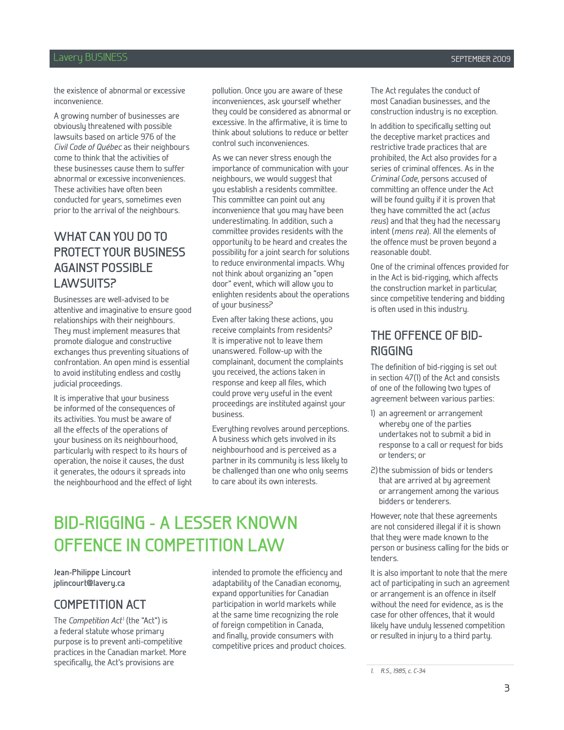#### Lavery BUSINESS SEPTEMBER 2009

the existence of abnormal or excessive inconvenience.

A growing number of businesses are obviously threatened with possible lawsuits based on article 976 of the Civil Code of Québec as their neighbours come to think that the activities of these businesses cause them to suffer abnormal or excessive inconveniences. These activities have often been conducted for years, sometimes even prior to the arrival of the neighbours.

### **What can you do to protect your business against possible lawsuits?**

Businesses are well-advised to be attentive and imaginative to ensure good relationships with their neighbours. They must implement measures that promote dialogue and constructive exchanges thus preventing situations of confrontation. An open mind is essential to avoid instituting endless and costly judicial proceedings.

It is imperative that your business be informed of the consequences of its activities. You must be aware of all the effects of the operations of your business on its neighbourhood, particularly with respect to its hours of operation, the noise it causes, the dust it generates, the odours it spreads into the neighbourhood and the effect of light pollution. Once you are aware of these inconveniences, ask yourself whether they could be considered as abnormal or excessive. In the affirmative, it is time to think about solutions to reduce or better control such inconveniences.

As we can never stress enough the importance of communication with your neighbours, we would suggest that you establish a residents committee. This committee can point out any inconvenience that you may have been underestimating. In addition, such a committee provides residents with the opportunity to be heard and creates the possibility for a joint search for solutions to reduce environmental impacts. Why not think about organizing an "open door" event, which will allow you to enlighten residents about the operations of your business?

Even after taking these actions, you receive complaints from residents? It is imperative not to leave them unanswered. Follow-up with the complainant, document the complaints you received, the actions taken in response and keep all files, which could prove very useful in the event proceedings are instituted against your business.

Everything revolves around perceptions. A business which gets involved in its neighbourhood and is perceived as a partner in its community is less likely to be challenged than one who only seems to care about its own interests.

## **Bid-rigging - a Lesser known Offence in Competition Law**

**Jean-Philippe Lincourt jplincourt@lavery.ca**

#### **COMPETITION ACT**

The Competition Act<sup>1</sup> (the "Act") is a federal statute whose primary purpose is to prevent anti-competitive practices in the Canadian market. More specifically, the Act's provisions are

intended to promote the efficiency and adaptability of the Canadian economy, expand opportunities for Canadian participation in world markets while at the same time recognizing the role of foreign competition in Canada, and finally, provide consumers with competitive prices and product choices. The Act regulates the conduct of most Canadian businesses, and the construction industry is no exception.

In addition to specifically setting out the deceptive market practices and restrictive trade practices that are prohibited, the Act also provides for a series of criminal offences. As in the Criminal Code, persons accused of committing an offence under the Act will be found guilty if it is proven that they have committed the act (actus reus) and that they had the necessary intent (mens rea). All the elements of the offence must be proven beyond a reasonable doubt.

One of the criminal offences provided for in the Act is bid-rigging, which affects the construction market in particular, since competitive tendering and bidding is often used in this industry.

#### **THE OFFENCE OF Bidrigging**

The definition of bid-rigging is set out in section 47(1) of the Act and consists of one of the following two types of agreement between various parties:

- 1) an agreement or arrangement whereby one of the parties undertakes not to submit a bid in response to a call or request for bids or tenders; or
- 2)the submission of bids or tenders that are arrived at by agreement or arrangement among the various bidders or tenderers.

However, note that these agreements are not considered illegal if it is shown that they were made known to the person or business calling for the bids or tenders.

It is also important to note that the mere act of participating in such an agreement or arrangement is an offence in itself without the need for evidence, as is the case for other offences, that it would likely have unduly lessened competition or resulted in injury to a third party.

<sup>1.</sup> R.S., 1985, c. C-34